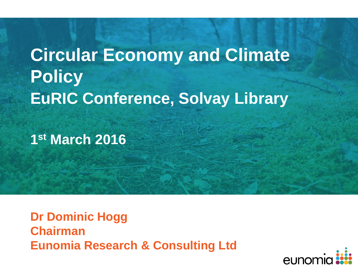# **Circular Economy and Climate Policy EuRIC Conference, Solvay Library**

**1 st March 2016**

**Dr Dominic Hogg Chairman Eunomia Research & Consulting Ltd**

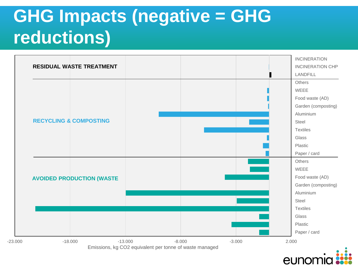# **GHG Impacts (negative = GHG reductions)**



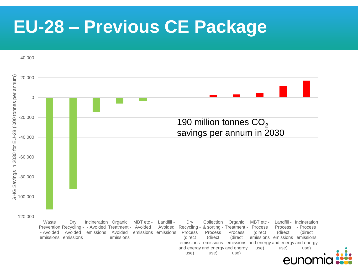## **EU-28 – Previous CE Package**



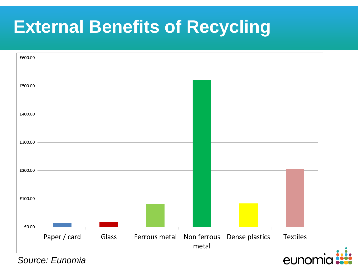# **External Benefits of Recycling**



*Source: Eunomia*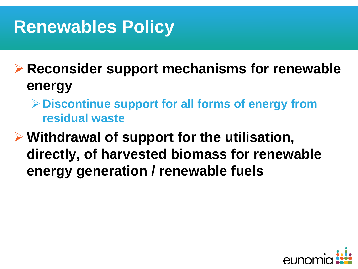# **Renewables Policy**

 **Reconsider support mechanisms for renewable energy**

**Discontinue support for all forms of energy from residual waste**

 **Withdrawal of support for the utilisation, directly, of harvested biomass for renewable energy generation / renewable fuels**

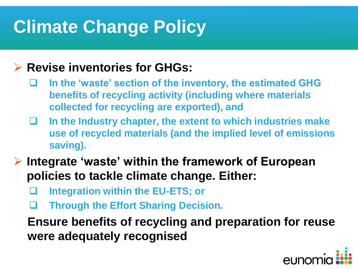# **Climate Change Policy**

#### **Revise inventories for GHGs:**

- **In the 'waste' section of the inventory, the estimated GHG benefits of recycling activity (including where materials collected for recycling are exported), and**
- **In the Industry chapter, the extent to which industries make use of recycled materials (and the implied level of emissions saving).**
- **Integrate 'waste' within the framework of European policies to tackle climate change. Either:**
	- **Integration within the EU-ETS; or**
	- **Through the Effort Sharing Decision.**

**Ensure benefits of recycling and preparation for reuse were adequately recognised**

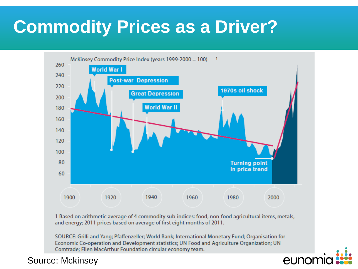# **Commodity Prices as a Driver?**



1 Based on arithmetic average of 4 commodity sub-indices: food, non-food agricultural items, metals, and energy; 2011 prices based on average of first eight months of 2011.

SOURCE: Grilli and Yang; Pfaffenzeller; World Bank; International Monetary Fund; Organisation for Economic Co-operation and Development statistics; UN Food and Agriculture Organization; UN Comtrade; Ellen MacArthur Foundation circular economy team.



#### Source: Mckinsey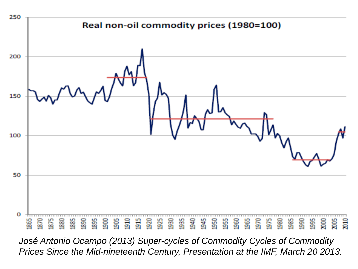

*José Antonio Ocampo (2013) Super-cycles of Commodity Cycles of Commodity Prices Since the Mid-nineteenth Century, Presentation at the IMF, March 20 2013.*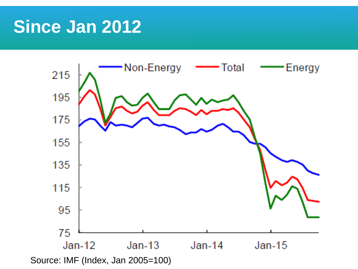#### **Since Jan 2012**



Source: IMF (Index, Jan 2005=100)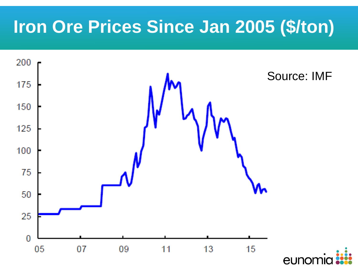# **Iron Ore Prices Since Jan 2005 (\$/ton)**

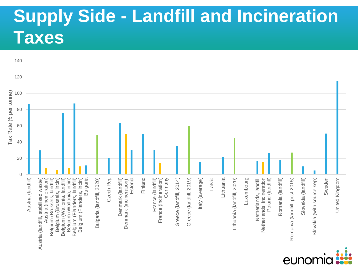# **Supply Side - Landfill and Incineration Taxes**



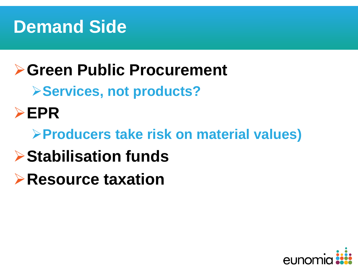

#### **Green Public Procurement**

**Services, not products?**

**EPR** 

#### **Producers take risk on material values)**

- **Stabilisation funds**
- **Resource taxation**

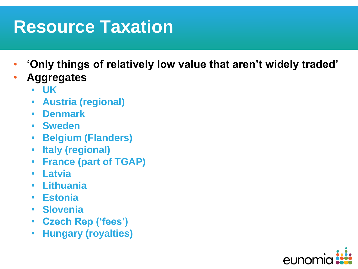# **Resource Taxation**

- **'Only things of relatively low value that aren't widely traded'**
- **Aggregates**
	- **UK**
	- **Austria (regional)**
	- **Denmark**
	- **Sweden**
	- **Belgium (Flanders)**
	- **Italy (regional)**
	- **France (part of TGAP)**
	- **Latvia**
	- **Lithuania**
	- **Estonia**
	- **Slovenia**
	- **Czech Rep ('fees')**
	- **Hungary (royalties)**

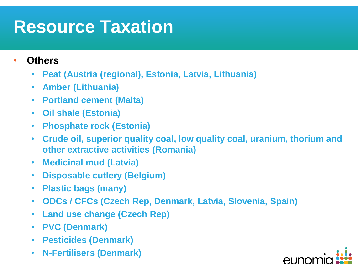# **Resource Taxation**

- **Others**
	- **Peat (Austria (regional), Estonia, Latvia, Lithuania)**
	- **Amber (Lithuania)**
	- **Portland cement (Malta)**
	- **Oil shale (Estonia)**
	- **Phosphate rock (Estonia)**
	- **Crude oil, superior quality coal, low quality coal, uranium, thorium and other extractive activities (Romania)**
	- **Medicinal mud (Latvia)**
	- **Disposable cutlery (Belgium)**
	- **Plastic bags (many)**
	- **ODCs / CFCs (Czech Rep, Denmark, Latvia, Slovenia, Spain)**
	- **Land use change (Czech Rep)**
	- **PVC (Denmark)**
	- **Pesticides (Denmark)**
	- **N-Fertilisers (Denmark)**

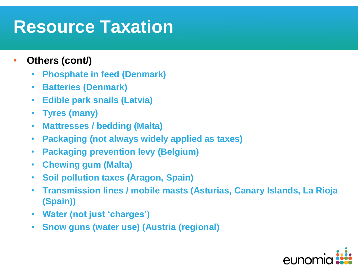### **Resource Taxation**

- **Others (cont/)**
	- **Phosphate in feed (Denmark)**
	- **Batteries (Denmark)**
	- **Edible park snails (Latvia)**
	- **Tyres (many)**
	- **Mattresses / bedding (Malta)**
	- **Packaging (not always widely applied as taxes)**
	- **Packaging prevention levy (Belgium)**
	- **Chewing gum (Malta)**
	- **Soil pollution taxes (Aragon, Spain)**
	- **Transmission lines / mobile masts (Asturias, Canary Islands, La Rioja (Spain))**
	- **Water (not just 'charges')**
	- **Snow guns (water use) (Austria (regional)**

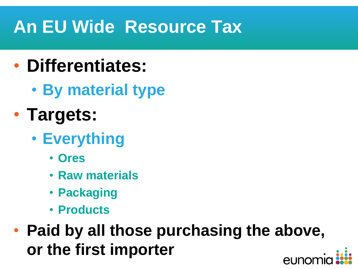# **An EU Wide Resource Tax**

- **Differentiates:**
	- **By material type**
- **Targets:**
	- **Everything**
		- **Ores**
		- **Raw materials**
		- **Packaging**
		- **Products**
- **Paid by all those purchasing the above, or the first importer**eunor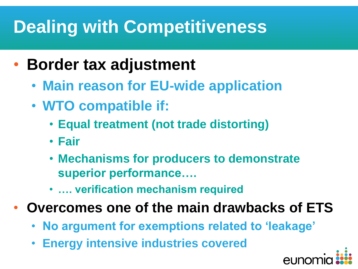# **Dealing with Competitiveness**

- **Border tax adjustment**
	- **Main reason for EU-wide application**
	- **WTO compatible if:**
		- **Equal treatment (not trade distorting)**
		- **Fair**
		- **Mechanisms for producers to demonstrate superior performance….**
		- **…. verification mechanism required**
- **Overcomes one of the main drawbacks of ETS**
	- **No argument for exemptions related to 'leakage'**
	- **Energy intensive industries covered**

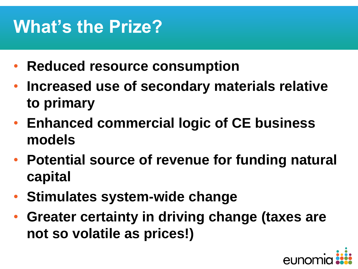# **What's the Prize?**

- **Reduced resource consumption**
- **Increased use of secondary materials relative to primary**
- **Enhanced commercial logic of CE business models**
- **Potential source of revenue for funding natural capital**
- **Stimulates system-wide change**
- **Greater certainty in driving change (taxes are not so volatile as prices!)**